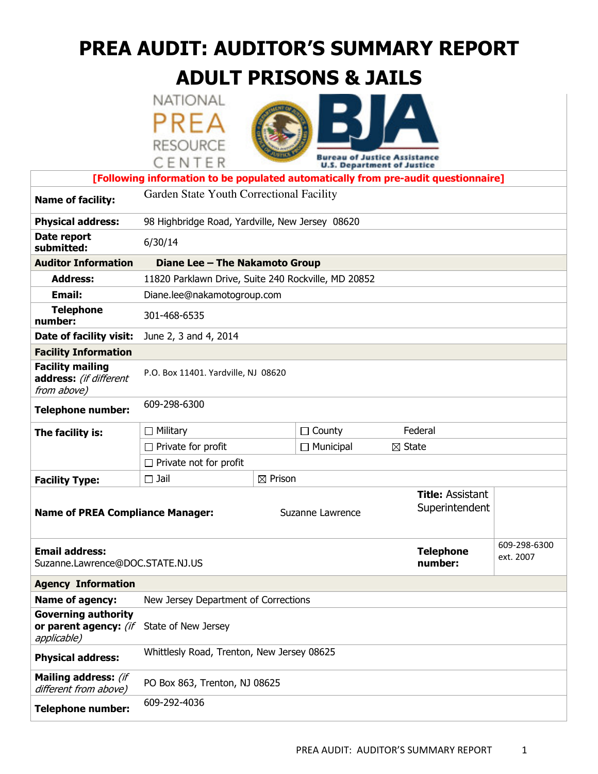# PREA AUDIT: AUDITOR'S SUMMARY REPORT

# ADULT PRISONS & JAILS

|                                                                                    | NATIONAL                                            |                    |                                       |                                           |                           |  |  |
|------------------------------------------------------------------------------------|-----------------------------------------------------|--------------------|---------------------------------------|-------------------------------------------|---------------------------|--|--|
|                                                                                    | PREA                                                |                    |                                       |                                           |                           |  |  |
|                                                                                    |                                                     |                    |                                       |                                           |                           |  |  |
|                                                                                    | <b>RESOURCE</b>                                     |                    |                                       | eau of Justice Assistance                 |                           |  |  |
|                                                                                    | CENTER                                              |                    | <b>U.S. Department of Justice</b>     |                                           |                           |  |  |
| [Following information to be populated automatically from pre-audit questionnaire] |                                                     |                    |                                       |                                           |                           |  |  |
| <b>Name of facility:</b>                                                           | Garden State Youth Correctional Facility            |                    |                                       |                                           |                           |  |  |
| <b>Physical address:</b>                                                           | 98 Highbridge Road, Yardville, New Jersey 08620     |                    |                                       |                                           |                           |  |  |
| Date report<br>submitted:                                                          | 6/30/14                                             |                    |                                       |                                           |                           |  |  |
| <b>Auditor Information</b>                                                         | Diane Lee - The Nakamoto Group                      |                    |                                       |                                           |                           |  |  |
| <b>Address:</b>                                                                    | 11820 Parklawn Drive, Suite 240 Rockville, MD 20852 |                    |                                       |                                           |                           |  |  |
| <b>Email:</b>                                                                      | Diane.lee@nakamotogroup.com                         |                    |                                       |                                           |                           |  |  |
| <b>Telephone</b><br>number:                                                        | 301-468-6535                                        |                    |                                       |                                           |                           |  |  |
| Date of facility visit:                                                            | June 2, 3 and 4, 2014                               |                    |                                       |                                           |                           |  |  |
| <b>Facility Information</b>                                                        |                                                     |                    |                                       |                                           |                           |  |  |
| <b>Facility mailing</b><br>address: (if different<br>from above)                   | P.O. Box 11401. Yardville, NJ 08620                 |                    |                                       |                                           |                           |  |  |
| <b>Telephone number:</b>                                                           | 609-298-6300                                        |                    |                                       |                                           |                           |  |  |
| The facility is:                                                                   | $\Box$ County<br>$\Box$ Military                    |                    |                                       | Federal                                   |                           |  |  |
|                                                                                    | $\Box$ Private for profit                           |                    | $\Box$ Municipal<br>$\boxtimes$ State |                                           |                           |  |  |
|                                                                                    | $\Box$ Private not for profit                       |                    |                                       |                                           |                           |  |  |
| <b>Facility Type:</b>                                                              | $\square$ Jail                                      | $\boxtimes$ Prison |                                       |                                           |                           |  |  |
| <b>Name of PREA Compliance Manager:</b>                                            |                                                     |                    | Suzanne Lawrence                      | <b>Title: Assistant</b><br>Superintendent |                           |  |  |
| <b>Email address:</b><br>Suzanne.Lawrence@DOC.STATE.NJ.US                          |                                                     |                    |                                       | <b>Telephone</b><br>number:               | 609-298-6300<br>ext. 2007 |  |  |
| <b>Agency Information</b>                                                          |                                                     |                    |                                       |                                           |                           |  |  |
| Name of agency:                                                                    | New Jersey Department of Corrections                |                    |                                       |                                           |                           |  |  |
| <b>Governing authority</b><br>or parent agency: (if<br>applicable)                 | State of New Jersey                                 |                    |                                       |                                           |                           |  |  |
| <b>Physical address:</b>                                                           | Whittlesly Road, Trenton, New Jersey 08625          |                    |                                       |                                           |                           |  |  |
| Mailing address: (if<br>different from above)                                      | PO Box 863, Trenton, NJ 08625                       |                    |                                       |                                           |                           |  |  |
| <b>Telephone number:</b>                                                           | 609-292-4036                                        |                    |                                       |                                           |                           |  |  |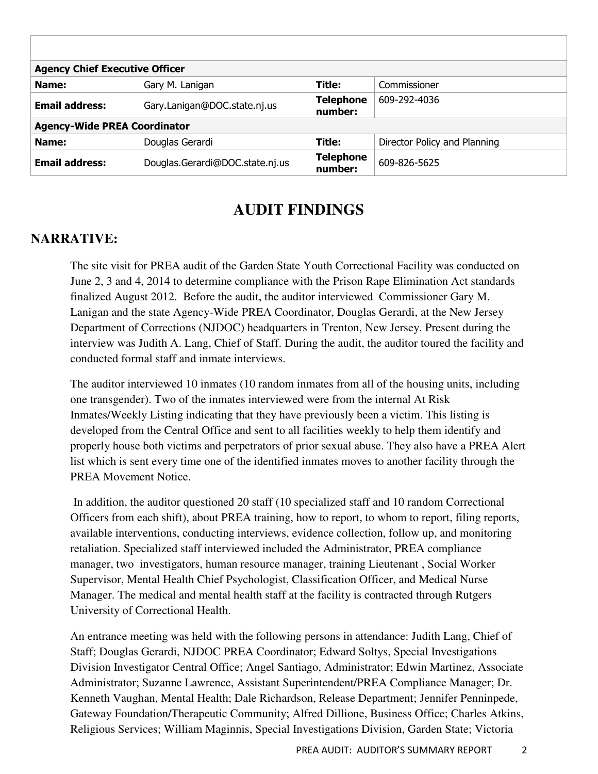| <b>Agency Chief Executive Officer</b> |                                 |                             |                              |  |  |  |
|---------------------------------------|---------------------------------|-----------------------------|------------------------------|--|--|--|
| Name:                                 | Gary M. Lanigan                 | Title:                      | Commissioner                 |  |  |  |
| <b>Email address:</b>                 | Gary.Lanigan@DOC.state.nj.us    | <b>Telephone</b><br>number: | 609-292-4036                 |  |  |  |
| <b>Agency-Wide PREA Coordinator</b>   |                                 |                             |                              |  |  |  |
| Name:                                 | Douglas Gerardi                 | Title:                      | Director Policy and Planning |  |  |  |
| <b>Email address:</b>                 | Douglas.Gerardi@DOC.state.nj.us | <b>Telephone</b><br>number: | 609-826-5625                 |  |  |  |

## **AUDIT FINDINGS**

#### **NARRATIVE:**

The site visit for PREA audit of the Garden State Youth Correctional Facility was conducted on June 2, 3 and 4, 2014 to determine compliance with the Prison Rape Elimination Act standards finalized August 2012. Before the audit, the auditor interviewed Commissioner Gary M. Lanigan and the state Agency-Wide PREA Coordinator, Douglas Gerardi, at the New Jersey Department of Corrections (NJDOC) headquarters in Trenton, New Jersey. Present during the interview was Judith A. Lang, Chief of Staff. During the audit, the auditor toured the facility and conducted formal staff and inmate interviews.

The auditor interviewed 10 inmates (10 random inmates from all of the housing units, including one transgender). Two of the inmates interviewed were from the internal At Risk Inmates/Weekly Listing indicating that they have previously been a victim. This listing is developed from the Central Office and sent to all facilities weekly to help them identify and properly house both victims and perpetrators of prior sexual abuse. They also have a PREA Alert list which is sent every time one of the identified inmates moves to another facility through the PREA Movement Notice.

 In addition, the auditor questioned 20 staff (10 specialized staff and 10 random Correctional Officers from each shift), about PREA training, how to report, to whom to report, filing reports, available interventions, conducting interviews, evidence collection, follow up, and monitoring retaliation. Specialized staff interviewed included the Administrator, PREA compliance manager, two investigators, human resource manager, training Lieutenant , Social Worker Supervisor, Mental Health Chief Psychologist, Classification Officer, and Medical Nurse Manager. The medical and mental health staff at the facility is contracted through Rutgers University of Correctional Health.

An entrance meeting was held with the following persons in attendance: Judith Lang, Chief of Staff; Douglas Gerardi, NJDOC PREA Coordinator; Edward Soltys, Special Investigations Division Investigator Central Office; Angel Santiago, Administrator; Edwin Martinez, Associate Administrator; Suzanne Lawrence, Assistant Superintendent/PREA Compliance Manager; Dr. Kenneth Vaughan, Mental Health; Dale Richardson, Release Department; Jennifer Penninpede, Gateway Foundation/Therapeutic Community; Alfred Dillione, Business Office; Charles Atkins, Religious Services; William Maginnis, Special Investigations Division, Garden State; Victoria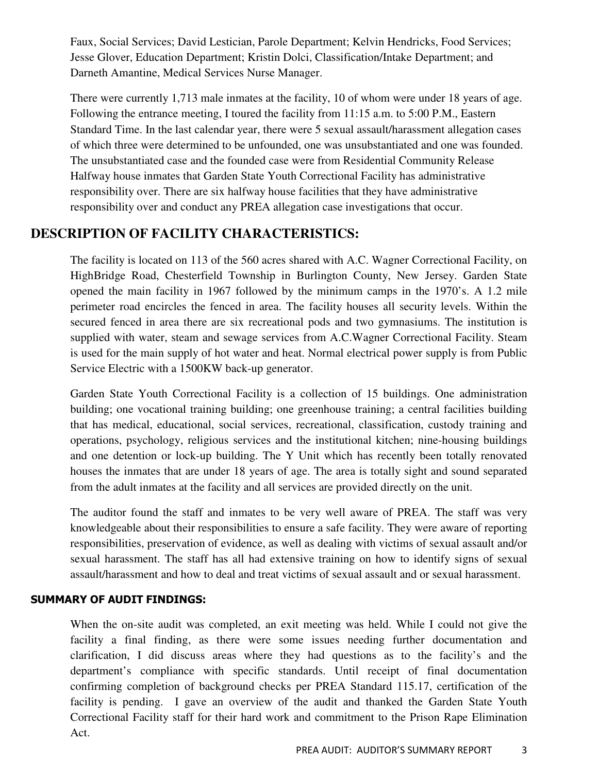Faux, Social Services; David Lestician, Parole Department; Kelvin Hendricks, Food Services; Jesse Glover, Education Department; Kristin Dolci, Classification/Intake Department; and Darneth Amantine, Medical Services Nurse Manager.

There were currently 1,713 male inmates at the facility, 10 of whom were under 18 years of age. Following the entrance meeting, I toured the facility from 11:15 a.m. to 5:00 P.M., Eastern Standard Time. In the last calendar year, there were 5 sexual assault/harassment allegation cases of which three were determined to be unfounded, one was unsubstantiated and one was founded. The unsubstantiated case and the founded case were from Residential Community Release Halfway house inmates that Garden State Youth Correctional Facility has administrative responsibility over. There are six halfway house facilities that they have administrative responsibility over and conduct any PREA allegation case investigations that occur.

#### **DESCRIPTION OF FACILITY CHARACTERISTICS:**

The facility is located on 113 of the 560 acres shared with A.C. Wagner Correctional Facility, on HighBridge Road, Chesterfield Township in Burlington County, New Jersey. Garden State opened the main facility in 1967 followed by the minimum camps in the 1970's. A 1.2 mile perimeter road encircles the fenced in area. The facility houses all security levels. Within the secured fenced in area there are six recreational pods and two gymnasiums. The institution is supplied with water, steam and sewage services from A.C.Wagner Correctional Facility. Steam is used for the main supply of hot water and heat. Normal electrical power supply is from Public Service Electric with a 1500KW back-up generator.

Garden State Youth Correctional Facility is a collection of 15 buildings. One administration building; one vocational training building; one greenhouse training; a central facilities building that has medical, educational, social services, recreational, classification, custody training and operations, psychology, religious services and the institutional kitchen; nine-housing buildings and one detention or lock-up building. The Y Unit which has recently been totally renovated houses the inmates that are under 18 years of age. The area is totally sight and sound separated from the adult inmates at the facility and all services are provided directly on the unit.

The auditor found the staff and inmates to be very well aware of PREA. The staff was very knowledgeable about their responsibilities to ensure a safe facility. They were aware of reporting responsibilities, preservation of evidence, as well as dealing with victims of sexual assault and/or sexual harassment. The staff has all had extensive training on how to identify signs of sexual assault/harassment and how to deal and treat victims of sexual assault and or sexual harassment.

#### SUMMARY OF AUDIT FINDINGS:

When the on-site audit was completed, an exit meeting was held. While I could not give the facility a final finding, as there were some issues needing further documentation and clarification, I did discuss areas where they had questions as to the facility's and the department's compliance with specific standards. Until receipt of final documentation confirming completion of background checks per PREA Standard 115.17, certification of the facility is pending. I gave an overview of the audit and thanked the Garden State Youth Correctional Facility staff for their hard work and commitment to the Prison Rape Elimination Act.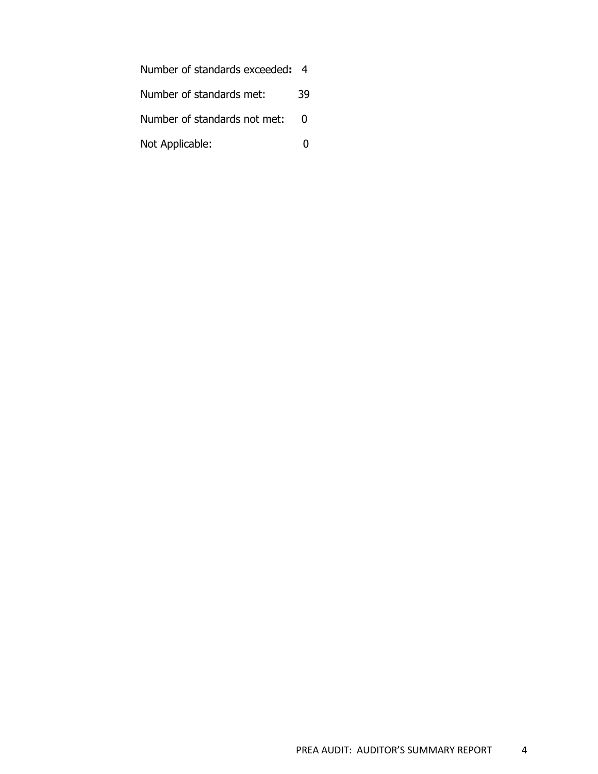| Number of standards exceeded: 4 |    |
|---------------------------------|----|
| Number of standards met:        | 39 |
| Number of standards not met:    | 0  |
| Not Applicable:                 |    |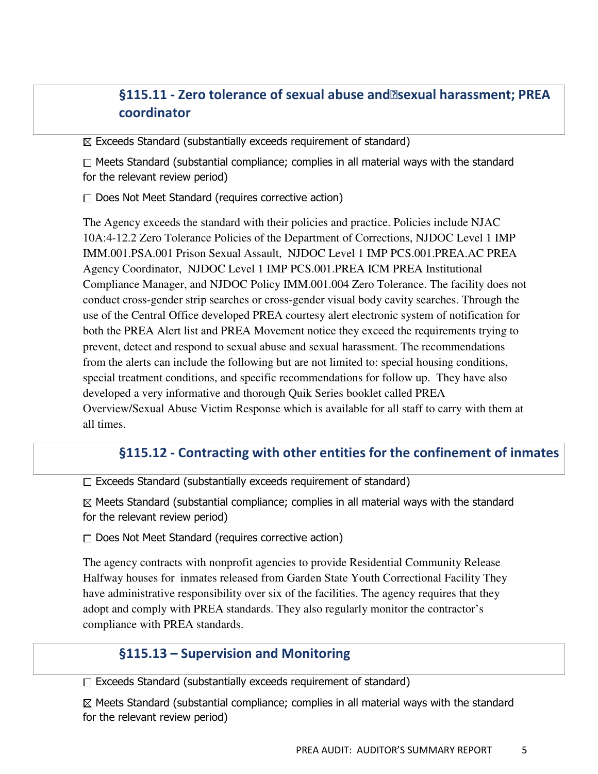## §115.11 - Zero tolerance of sexual abuse and<br>
<sub>[2]</sub> sexual harassment; PREA coordinator

 $\boxtimes$  Exceeds Standard (substantially exceeds requirement of standard)

 $\Box$  Meets Standard (substantial compliance; complies in all material ways with the standard for the relevant review period)

 $\Box$  Does Not Meet Standard (requires corrective action)

The Agency exceeds the standard with their policies and practice. Policies include NJAC 10A:4-12.2 Zero Tolerance Policies of the Department of Corrections, NJDOC Level 1 IMP IMM.001.PSA.001 Prison Sexual Assault, NJDOC Level 1 IMP PCS.001.PREA.AC PREA Agency Coordinator, NJDOC Level 1 IMP PCS.001.PREA ICM PREA Institutional Compliance Manager, and NJDOC Policy IMM.001.004 Zero Tolerance. The facility does not conduct cross-gender strip searches or cross-gender visual body cavity searches. Through the use of the Central Office developed PREA courtesy alert electronic system of notification for both the PREA Alert list and PREA Movement notice they exceed the requirements trying to prevent, detect and respond to sexual abuse and sexual harassment. The recommendations from the alerts can include the following but are not limited to: special housing conditions, special treatment conditions, and specific recommendations for follow up. They have also developed a very informative and thorough Quik Series booklet called PREA Overview/Sexual Abuse Victim Response which is available for all staff to carry with them at all times.

#### §115.12 - Contracting with other entities for the confinement of inmates

 $\Box$  Exceeds Standard (substantially exceeds requirement of standard)

 $\boxtimes$  Meets Standard (substantial compliance; complies in all material ways with the standard for the relevant review period)

 $\Box$  Does Not Meet Standard (requires corrective action)

The agency contracts with nonprofit agencies to provide Residential Community Release Halfway houses for inmates released from Garden State Youth Correctional Facility They have administrative responsibility over six of the facilities. The agency requires that they adopt and comply with PREA standards. They also regularly monitor the contractor's compliance with PREA standards.

#### §115.13 – Supervision and Monitoring

 $\Box$  Exceeds Standard (substantially exceeds requirement of standard)

 $\boxtimes$  Meets Standard (substantial compliance; complies in all material ways with the standard for the relevant review period)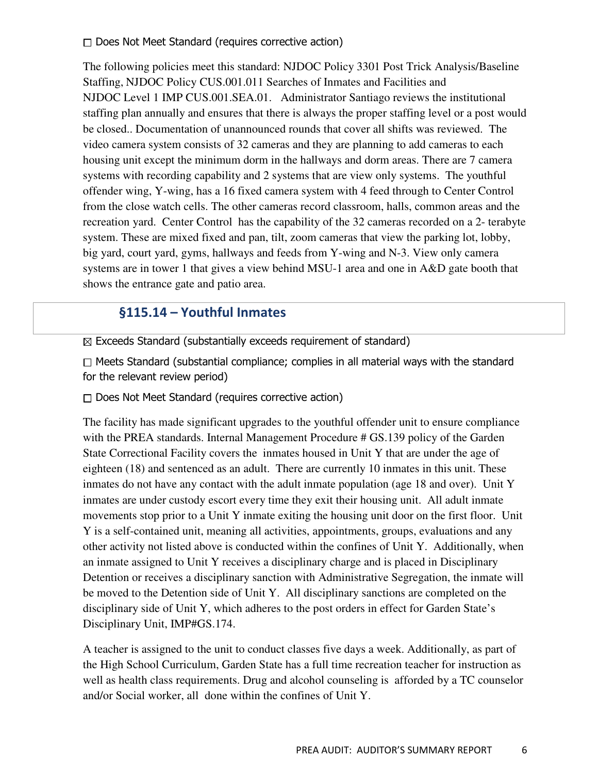$\Box$  Does Not Meet Standard (requires corrective action)

The following policies meet this standard: NJDOC Policy 3301 Post Trick Analysis/Baseline Staffing, NJDOC Policy CUS.001.011 Searches of Inmates and Facilities and NJDOC Level 1 IMP CUS.001.SEA.01. Administrator Santiago reviews the institutional staffing plan annually and ensures that there is always the proper staffing level or a post would be closed.. Documentation of unannounced rounds that cover all shifts was reviewed. The video camera system consists of 32 cameras and they are planning to add cameras to each housing unit except the minimum dorm in the hallways and dorm areas. There are 7 camera systems with recording capability and 2 systems that are view only systems. The youthful offender wing, Y-wing, has a 16 fixed camera system with 4 feed through to Center Control from the close watch cells. The other cameras record classroom, halls, common areas and the recreation yard. Center Control has the capability of the 32 cameras recorded on a 2- terabyte system. These are mixed fixed and pan, tilt, zoom cameras that view the parking lot, lobby, big yard, court yard, gyms, hallways and feeds from Y-wing and N-3. View only camera systems are in tower 1 that gives a view behind MSU-1 area and one in A&D gate booth that shows the entrance gate and patio area.

### §115.14 – Youthful Inmates

 $\boxtimes$  Exceeds Standard (substantially exceeds requirement of standard)

 $\Box$  Meets Standard (substantial compliance; complies in all material ways with the standard for the relevant review period)

 $\Box$  Does Not Meet Standard (requires corrective action)

The facility has made significant upgrades to the youthful offender unit to ensure compliance with the PREA standards. Internal Management Procedure # GS.139 policy of the Garden State Correctional Facility covers the inmates housed in Unit Y that are under the age of eighteen (18) and sentenced as an adult. There are currently 10 inmates in this unit. These inmates do not have any contact with the adult inmate population (age 18 and over). Unit Y inmates are under custody escort every time they exit their housing unit. All adult inmate movements stop prior to a Unit Y inmate exiting the housing unit door on the first floor. Unit Y is a self-contained unit, meaning all activities, appointments, groups, evaluations and any other activity not listed above is conducted within the confines of Unit Y. Additionally, when an inmate assigned to Unit Y receives a disciplinary charge and is placed in Disciplinary Detention or receives a disciplinary sanction with Administrative Segregation, the inmate will be moved to the Detention side of Unit Y. All disciplinary sanctions are completed on the disciplinary side of Unit Y, which adheres to the post orders in effect for Garden State's Disciplinary Unit, IMP#GS.174.

A teacher is assigned to the unit to conduct classes five days a week. Additionally, as part of the High School Curriculum, Garden State has a full time recreation teacher for instruction as well as health class requirements. Drug and alcohol counseling is afforded by a TC counselor and/or Social worker, all done within the confines of Unit Y.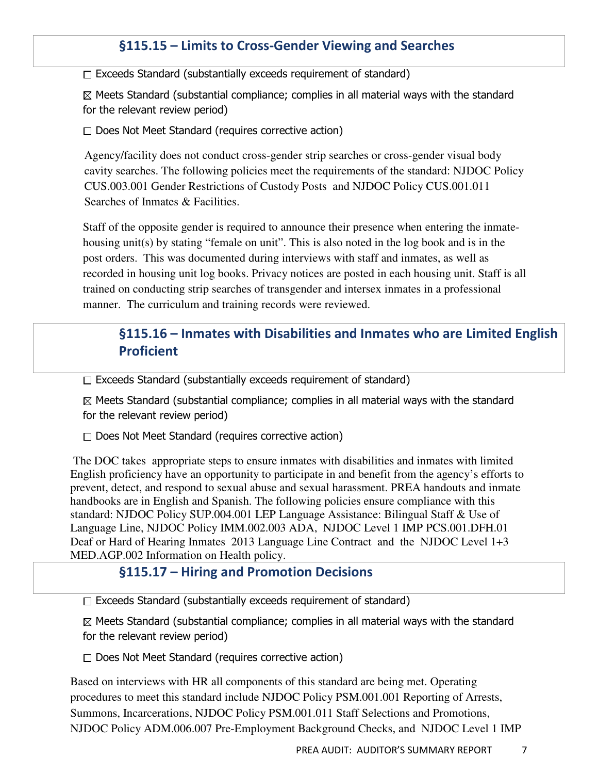## §115.15 – Limits to Cross-Gender Viewing and Searches

 $\Box$  Exceeds Standard (substantially exceeds requirement of standard)

 $\boxtimes$  Meets Standard (substantial compliance; complies in all material ways with the standard for the relevant review period)

 $\Box$  Does Not Meet Standard (requires corrective action)

Agency/facility does not conduct cross-gender strip searches or cross-gender visual body cavity searches. The following policies meet the requirements of the standard: NJDOC Policy CUS.003.001 Gender Restrictions of Custody Posts and NJDOC Policy CUS.001.011 Searches of Inmates & Facilities.

Staff of the opposite gender is required to announce their presence when entering the inmatehousing unit(s) by stating "female on unit". This is also noted in the log book and is in the post orders. This was documented during interviews with staff and inmates, as well as recorded in housing unit log books. Privacy notices are posted in each housing unit. Staff is all trained on conducting strip searches of transgender and intersex inmates in a professional manner. The curriculum and training records were reviewed.

## §115.16 – Inmates with Disabilities and Inmates who are Limited English Proficient

 $\Box$  Exceeds Standard (substantially exceeds requirement of standard)

 $\boxtimes$  Meets Standard (substantial compliance; complies in all material ways with the standard for the relevant review period)

 $\Box$  Does Not Meet Standard (requires corrective action)

 The DOC takes appropriate steps to ensure inmates with disabilities and inmates with limited English proficiency have an opportunity to participate in and benefit from the agency's efforts to prevent, detect, and respond to sexual abuse and sexual harassment. PREA handouts and inmate handbooks are in English and Spanish. The following policies ensure compliance with this standard: NJDOC Policy SUP.004.001 LEP Language Assistance: Bilingual Staff & Use of Language Line, NJDOC Policy IMM.002.003 ADA, NJDOC Level 1 IMP PCS.001.DFH.01 Deaf or Hard of Hearing Inmates 2013 Language Line Contract and the NJDOC Level 1+3 MED.AGP.002 Information on Health policy.

#### §115.17 – Hiring and Promotion Decisions

 $\Box$  Exceeds Standard (substantially exceeds requirement of standard)

 $\boxtimes$  Meets Standard (substantial compliance; complies in all material ways with the standard for the relevant review period)

 $\Box$  Does Not Meet Standard (requires corrective action)

Based on interviews with HR all components of this standard are being met. Operating procedures to meet this standard include NJDOC Policy PSM.001.001 Reporting of Arrests, Summons, Incarcerations, NJDOC Policy PSM.001.011 Staff Selections and Promotions, NJDOC Policy ADM.006.007 Pre-Employment Background Checks, and NJDOC Level 1 IMP

PREA AUDIT: AUDITOR'S SUMMARY REPORT 7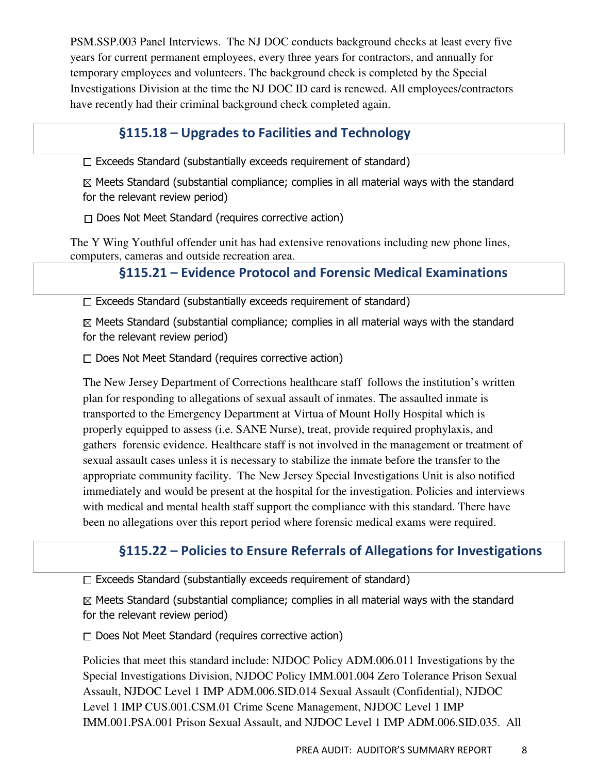PSM.SSP.003 Panel Interviews. The NJ DOC conducts background checks at least every five years for current permanent employees, every three years for contractors, and annually for temporary employees and volunteers. The background check is completed by the Special Investigations Division at the time the NJ DOC ID card is renewed. All employees/contractors have recently had their criminal background check completed again.

## §115.18 – Upgrades to Facilities and Technology

 $\Box$  Exceeds Standard (substantially exceeds requirement of standard)

 $\boxtimes$  Meets Standard (substantial compliance; complies in all material ways with the standard for the relevant review period)

 $\Box$  Does Not Meet Standard (requires corrective action)

The Y Wing Youthful offender unit has had extensive renovations including new phone lines, computers, cameras and outside recreation area.

## §115.21 – Evidence Protocol and Forensic Medical Examinations

 $\Box$  Exceeds Standard (substantially exceeds requirement of standard)

 $\boxtimes$  Meets Standard (substantial compliance; complies in all material ways with the standard for the relevant review period)

 $\Box$  Does Not Meet Standard (requires corrective action)

The New Jersey Department of Corrections healthcare staff follows the institution's written plan for responding to allegations of sexual assault of inmates. The assaulted inmate is transported to the Emergency Department at Virtua of Mount Holly Hospital which is properly equipped to assess (i.e. SANE Nurse), treat, provide required prophylaxis, and gathers forensic evidence. Healthcare staff is not involved in the management or treatment of sexual assault cases unless it is necessary to stabilize the inmate before the transfer to the appropriate community facility. The New Jersey Special Investigations Unit is also notified immediately and would be present at the hospital for the investigation. Policies and interviews with medical and mental health staff support the compliance with this standard. There have been no allegations over this report period where forensic medical exams were required.

## §115.22 – Policies to Ensure Referrals of Allegations for Investigations

 $\Box$  Exceeds Standard (substantially exceeds requirement of standard)

 $\boxtimes$  Meets Standard (substantial compliance; complies in all material ways with the standard for the relevant review period)

 $\Box$  Does Not Meet Standard (requires corrective action)

Policies that meet this standard include: NJDOC Policy ADM.006.011 Investigations by the Special Investigations Division, NJDOC Policy IMM.001.004 Zero Tolerance Prison Sexual Assault, NJDOC Level 1 IMP ADM.006.SID.014 Sexual Assault (Confidential), NJDOC Level 1 IMP CUS.001.CSM.01 Crime Scene Management, NJDOC Level 1 IMP IMM.001.PSA.001 Prison Sexual Assault, and NJDOC Level 1 IMP ADM.006.SID.035. All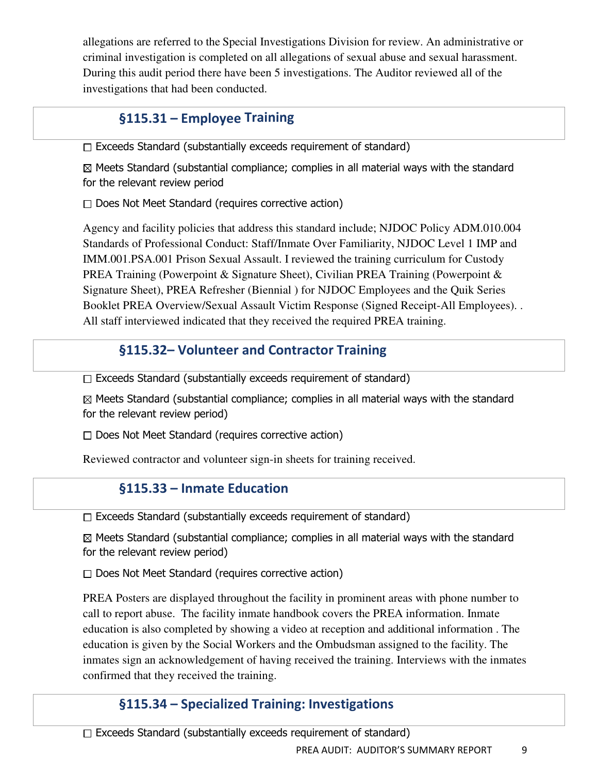allegations are referred to the Special Investigations Division for review. An administrative or criminal investigation is completed on all allegations of sexual abuse and sexual harassment. During this audit period there have been 5 investigations. The Auditor reviewed all of the investigations that had been conducted.

## §115.31 – Employee Training

 $\Box$  Exceeds Standard (substantially exceeds requirement of standard)

 $\boxtimes$  Meets Standard (substantial compliance; complies in all material ways with the standard for the relevant review period

 $\Box$  Does Not Meet Standard (requires corrective action)

Agency and facility policies that address this standard include; NJDOC Policy ADM.010.004 Standards of Professional Conduct: Staff/Inmate Over Familiarity, NJDOC Level 1 IMP and IMM.001.PSA.001 Prison Sexual Assault. I reviewed the training curriculum for Custody PREA Training (Powerpoint & Signature Sheet), Civilian PREA Training (Powerpoint & Signature Sheet), PREA Refresher (Biennial ) for NJDOC Employees and the Quik Series Booklet PREA Overview/Sexual Assault Victim Response (Signed Receipt-All Employees). . All staff interviewed indicated that they received the required PREA training.

## §115.32– Volunteer and Contractor Training

 $\Box$  Exceeds Standard (substantially exceeds requirement of standard)

 $\boxtimes$  Meets Standard (substantial compliance; complies in all material ways with the standard for the relevant review period)

 $\Box$  Does Not Meet Standard (requires corrective action)

Reviewed contractor and volunteer sign-in sheets for training received.

## §115.33 – Inmate Education

 $\Box$  Exceeds Standard (substantially exceeds requirement of standard)

 $\boxtimes$  Meets Standard (substantial compliance; complies in all material ways with the standard for the relevant review period)

 $\Box$  Does Not Meet Standard (requires corrective action)

PREA Posters are displayed throughout the facility in prominent areas with phone number to call to report abuse. The facility inmate handbook covers the PREA information. Inmate education is also completed by showing a video at reception and additional information . The education is given by the Social Workers and the Ombudsman assigned to the facility. The inmates sign an acknowledgement of having received the training. Interviews with the inmates confirmed that they received the training.

## §115.34 – Specialized Training: Investigations

 $\Box$  Exceeds Standard (substantially exceeds requirement of standard)

PREA AUDIT: AUDITOR'S SUMMARY REPORT 9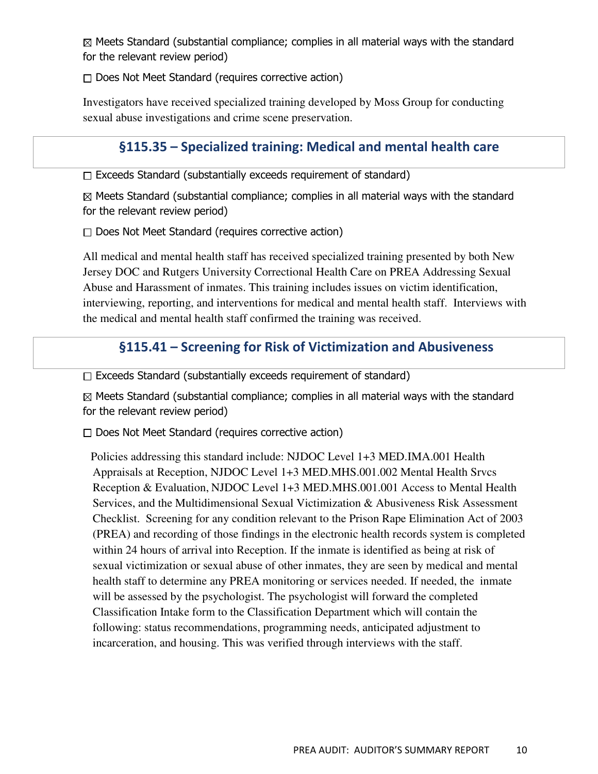$\boxtimes$  Meets Standard (substantial compliance; complies in all material ways with the standard for the relevant review period)

 $\Box$  Does Not Meet Standard (requires corrective action)

Investigators have received specialized training developed by Moss Group for conducting sexual abuse investigations and crime scene preservation.

## §115.35 – Specialized training: Medical and mental health care

 $\Box$  Exceeds Standard (substantially exceeds requirement of standard)

 $\boxtimes$  Meets Standard (substantial compliance; complies in all material ways with the standard for the relevant review period)

 $\Box$  Does Not Meet Standard (requires corrective action)

All medical and mental health staff has received specialized training presented by both New Jersey DOC and Rutgers University Correctional Health Care on PREA Addressing Sexual Abuse and Harassment of inmates. This training includes issues on victim identification, interviewing, reporting, and interventions for medical and mental health staff. Interviews with the medical and mental health staff confirmed the training was received.

## §115.41 – Screening for Risk of Victimization and Abusiveness

 $\Box$  Exceeds Standard (substantially exceeds requirement of standard)

 $\boxtimes$  Meets Standard (substantial compliance; complies in all material ways with the standard for the relevant review period)

 $\Box$  Does Not Meet Standard (requires corrective action)

 Policies addressing this standard include: NJDOC Level 1+3 MED.IMA.001 Health Appraisals at Reception, NJDOC Level 1+3 MED.MHS.001.002 Mental Health Srvcs Reception & Evaluation, NJDOC Level 1+3 MED.MHS.001.001 Access to Mental Health Services, and the Multidimensional Sexual Victimization & Abusiveness Risk Assessment Checklist. Screening for any condition relevant to the Prison Rape Elimination Act of 2003 (PREA) and recording of those findings in the electronic health records system is completed within 24 hours of arrival into Reception. If the inmate is identified as being at risk of sexual victimization or sexual abuse of other inmates, they are seen by medical and mental health staff to determine any PREA monitoring or services needed. If needed, the inmate will be assessed by the psychologist. The psychologist will forward the completed Classification Intake form to the Classification Department which will contain the following: status recommendations, programming needs, anticipated adjustment to incarceration, and housing. This was verified through interviews with the staff.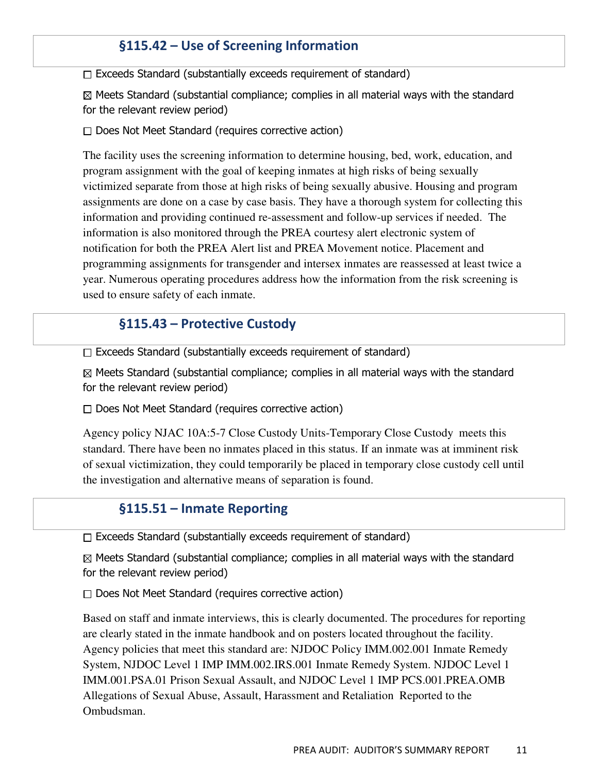## §115.42 – Use of Screening Information

 $\Box$  Exceeds Standard (substantially exceeds requirement of standard)

 $\boxtimes$  Meets Standard (substantial compliance; complies in all material ways with the standard for the relevant review period)

 $\Box$  Does Not Meet Standard (requires corrective action)

The facility uses the screening information to determine housing, bed, work, education, and program assignment with the goal of keeping inmates at high risks of being sexually victimized separate from those at high risks of being sexually abusive. Housing and program assignments are done on a case by case basis. They have a thorough system for collecting this information and providing continued re-assessment and follow-up services if needed. The information is also monitored through the PREA courtesy alert electronic system of notification for both the PREA Alert list and PREA Movement notice. Placement and programming assignments for transgender and intersex inmates are reassessed at least twice a year. Numerous operating procedures address how the information from the risk screening is used to ensure safety of each inmate.

#### §115.43 – Protective Custody

 $\Box$  Exceeds Standard (substantially exceeds requirement of standard)

 $\boxtimes$  Meets Standard (substantial compliance; complies in all material ways with the standard for the relevant review period)

 $\Box$  Does Not Meet Standard (requires corrective action)

Agency policy NJAC 10A:5-7 Close Custody Units-Temporary Close Custody meets this standard. There have been no inmates placed in this status. If an inmate was at imminent risk of sexual victimization, they could temporarily be placed in temporary close custody cell until the investigation and alternative means of separation is found.

#### §115.51 – Inmate Reporting

 $\Box$  Exceeds Standard (substantially exceeds requirement of standard)

 $\boxtimes$  Meets Standard (substantial compliance; complies in all material ways with the standard for the relevant review period)

 $\Box$  Does Not Meet Standard (requires corrective action)

Based on staff and inmate interviews, this is clearly documented. The procedures for reporting are clearly stated in the inmate handbook and on posters located throughout the facility. Agency policies that meet this standard are: NJDOC Policy IMM.002.001 Inmate Remedy System, NJDOC Level 1 IMP IMM.002.IRS.001 Inmate Remedy System. NJDOC Level 1 IMM.001.PSA.01 Prison Sexual Assault, and NJDOC Level 1 IMP PCS.001.PREA.OMB Allegations of Sexual Abuse, Assault, Harassment and Retaliation Reported to the Ombudsman.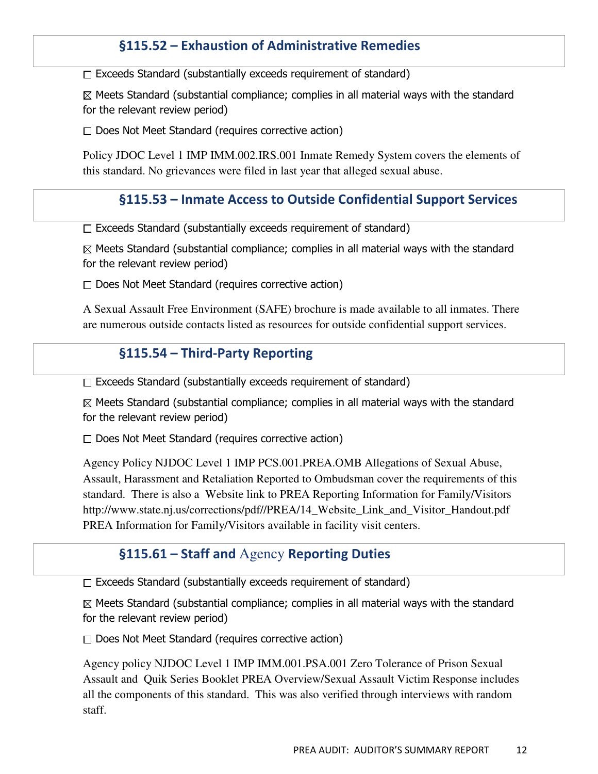## §115.52 – Exhaustion of Administrative Remedies

 $\Box$  Exceeds Standard (substantially exceeds requirement of standard)

 $\boxtimes$  Meets Standard (substantial compliance; complies in all material ways with the standard for the relevant review period)

 $\Box$  Does Not Meet Standard (requires corrective action)

Policy JDOC Level 1 IMP IMM.002.IRS.001 Inmate Remedy System covers the elements of this standard. No grievances were filed in last year that alleged sexual abuse.

#### §115.53 – Inmate Access to Outside Confidential Support Services

 $\Box$  Exceeds Standard (substantially exceeds requirement of standard)

 $\boxtimes$  Meets Standard (substantial compliance; complies in all material ways with the standard for the relevant review period)

 $\Box$  Does Not Meet Standard (requires corrective action)

A Sexual Assault Free Environment (SAFE) brochure is made available to all inmates. There are numerous outside contacts listed as resources for outside confidential support services.

#### §115.54 – Third-Party Reporting

 $\Box$  Exceeds Standard (substantially exceeds requirement of standard)

 $\boxtimes$  Meets Standard (substantial compliance; complies in all material ways with the standard for the relevant review period)

 $\Box$  Does Not Meet Standard (requires corrective action)

Agency Policy NJDOC Level 1 IMP PCS.001.PREA.OMB Allegations of Sexual Abuse, Assault, Harassment and Retaliation Reported to Ombudsman cover the requirements of this standard. There is also a Website link to PREA Reporting Information for Family/Visitors http://www.state.nj.us/corrections/pdf//PREA/14\_Website\_Link\_and\_Visitor\_Handout.pdf PREA Information for Family/Visitors available in facility visit centers.

#### §115.61 – Staff and Agency Reporting Duties

 $\Box$  Exceeds Standard (substantially exceeds requirement of standard)

 $\boxtimes$  Meets Standard (substantial compliance; complies in all material ways with the standard for the relevant review period)

 $\Box$  Does Not Meet Standard (requires corrective action)

Agency policy NJDOC Level 1 IMP IMM.001.PSA.001 Zero Tolerance of Prison Sexual Assault and Quik Series Booklet PREA Overview/Sexual Assault Victim Response includes all the components of this standard. This was also verified through interviews with random staff.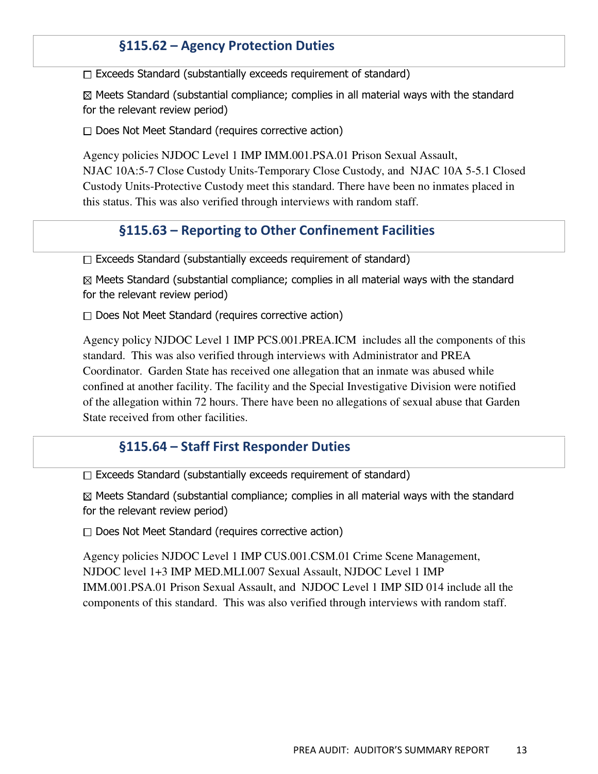## §115.62 – Agency Protection Duties

 $\Box$  Exceeds Standard (substantially exceeds requirement of standard)

 $\boxtimes$  Meets Standard (substantial compliance; complies in all material ways with the standard for the relevant review period)

 $\Box$  Does Not Meet Standard (requires corrective action)

Agency policies NJDOC Level 1 IMP IMM.001.PSA.01 Prison Sexual Assault, NJAC 10A:5-7 Close Custody Units-Temporary Close Custody, and NJAC 10A 5-5.1 Closed Custody Units-Protective Custody meet this standard. There have been no inmates placed in this status. This was also verified through interviews with random staff.

#### §115.63 – Reporting to Other Confinement Facilities

 $\Box$  Exceeds Standard (substantially exceeds requirement of standard)

 $\boxtimes$  Meets Standard (substantial compliance; complies in all material ways with the standard for the relevant review period)

 $\Box$  Does Not Meet Standard (requires corrective action)

Agency policy NJDOC Level 1 IMP PCS.001.PREA.ICM includes all the components of this standard. This was also verified through interviews with Administrator and PREA Coordinator. Garden State has received one allegation that an inmate was abused while confined at another facility. The facility and the Special Investigative Division were notified of the allegation within 72 hours. There have been no allegations of sexual abuse that Garden State received from other facilities.

#### §115.64 – Staff First Responder Duties

 $\Box$  Exceeds Standard (substantially exceeds requirement of standard)

 $\boxtimes$  Meets Standard (substantial compliance; complies in all material ways with the standard for the relevant review period)

 $\Box$  Does Not Meet Standard (requires corrective action)

Agency policies NJDOC Level 1 IMP CUS.001.CSM.01 Crime Scene Management, NJDOC level 1+3 IMP MED.MLI.007 Sexual Assault, NJDOC Level 1 IMP IMM.001.PSA.01 Prison Sexual Assault, and NJDOC Level 1 IMP SID 014 include all the components of this standard. This was also verified through interviews with random staff.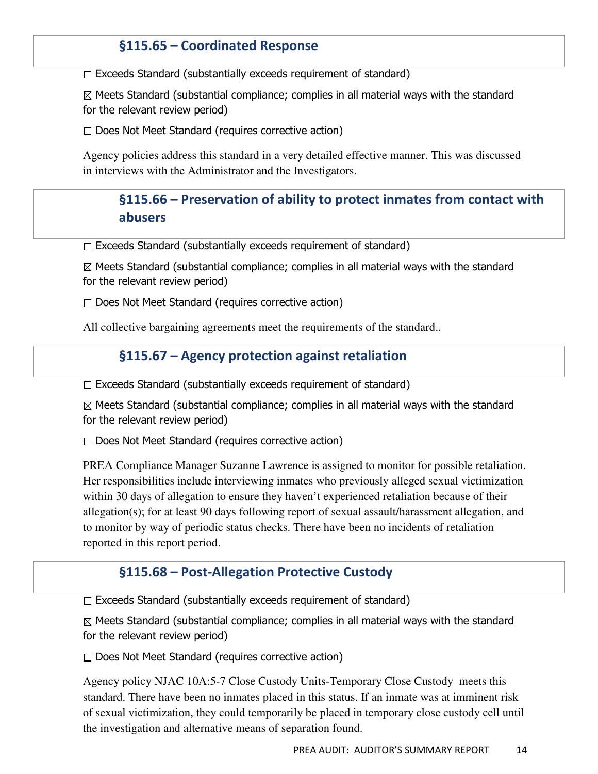## §115.65 – Coordinated Response

 $\Box$  Exceeds Standard (substantially exceeds requirement of standard)

 $\boxtimes$  Meets Standard (substantial compliance; complies in all material ways with the standard for the relevant review period)

 $\Box$  Does Not Meet Standard (requires corrective action)

Agency policies address this standard in a very detailed effective manner. This was discussed in interviews with the Administrator and the Investigators.

## §115.66 – Preservation of ability to protect inmates from contact with abusers

 $\Box$  Exceeds Standard (substantially exceeds requirement of standard)

 $\boxtimes$  Meets Standard (substantial compliance; complies in all material ways with the standard for the relevant review period)

 $\Box$  Does Not Meet Standard (requires corrective action)

All collective bargaining agreements meet the requirements of the standard..

#### §115.67 – Agency protection against retaliation

 $\Box$  Exceeds Standard (substantially exceeds requirement of standard)

 $\boxtimes$  Meets Standard (substantial compliance; complies in all material ways with the standard for the relevant review period)

 $\Box$  Does Not Meet Standard (requires corrective action)

PREA Compliance Manager Suzanne Lawrence is assigned to monitor for possible retaliation. Her responsibilities include interviewing inmates who previously alleged sexual victimization within 30 days of allegation to ensure they haven't experienced retaliation because of their allegation(s); for at least 90 days following report of sexual assault/harassment allegation, and to monitor by way of periodic status checks. There have been no incidents of retaliation reported in this report period.

#### §115.68 – Post-Allegation Protective Custody

 $\Box$  Exceeds Standard (substantially exceeds requirement of standard)

 $\boxtimes$  Meets Standard (substantial compliance; complies in all material ways with the standard for the relevant review period)

 $\Box$  Does Not Meet Standard (requires corrective action)

Agency policy NJAC 10A:5-7 Close Custody Units-Temporary Close Custody meets this standard. There have been no inmates placed in this status. If an inmate was at imminent risk of sexual victimization, they could temporarily be placed in temporary close custody cell until the investigation and alternative means of separation found.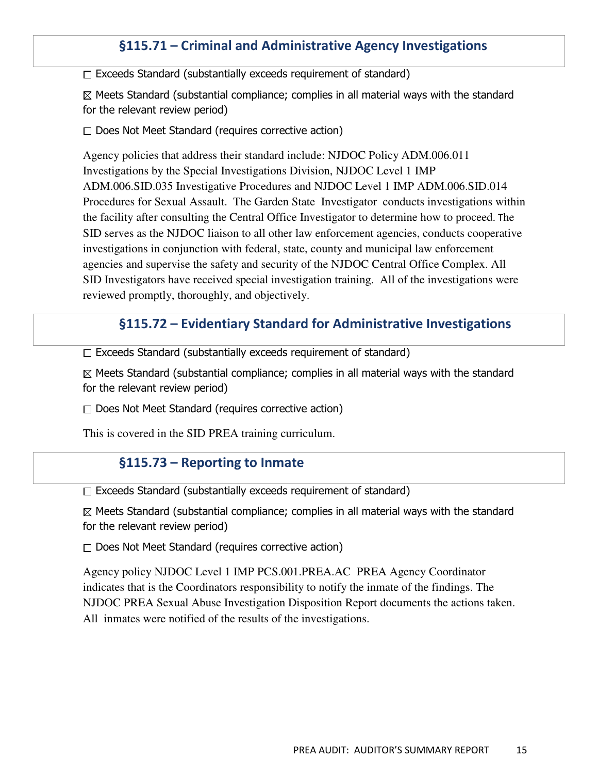## §115.71 – Criminal and Administrative Agency Investigations

 $\Box$  Exceeds Standard (substantially exceeds requirement of standard)

 $\boxtimes$  Meets Standard (substantial compliance; complies in all material ways with the standard for the relevant review period)

 $\Box$  Does Not Meet Standard (requires corrective action)

Agency policies that address their standard include: NJDOC Policy ADM.006.011 Investigations by the Special Investigations Division, NJDOC Level 1 IMP ADM.006.SID.035 Investigative Procedures and NJDOC Level 1 IMP ADM.006.SID.014 Procedures for Sexual Assault. The Garden State Investigator conducts investigations within the facility after consulting the Central Office Investigator to determine how to proceed. The SID serves as the NJDOC liaison to all other law enforcement agencies, conducts cooperative investigations in conjunction with federal, state, county and municipal law enforcement agencies and supervise the safety and security of the NJDOC Central Office Complex. All SID Investigators have received special investigation training. All of the investigations were reviewed promptly, thoroughly, and objectively.

#### §115.72 – Evidentiary Standard for Administrative Investigations

 $\Box$  Exceeds Standard (substantially exceeds requirement of standard)

 $\boxtimes$  Meets Standard (substantial compliance; complies in all material ways with the standard for the relevant review period)

 $\Box$  Does Not Meet Standard (requires corrective action)

This is covered in the SID PREA training curriculum.

#### §115.73 – Reporting to Inmate

Exceeds Standard (substantially exceeds requirement of standard)

 $\boxtimes$  Meets Standard (substantial compliance; complies in all material ways with the standard for the relevant review period)

 $\Box$  Does Not Meet Standard (requires corrective action)

Agency policy NJDOC Level 1 IMP PCS.001.PREA.AC PREA Agency Coordinator indicates that is the Coordinators responsibility to notify the inmate of the findings. The NJDOC PREA Sexual Abuse Investigation Disposition Report documents the actions taken. All inmates were notified of the results of the investigations.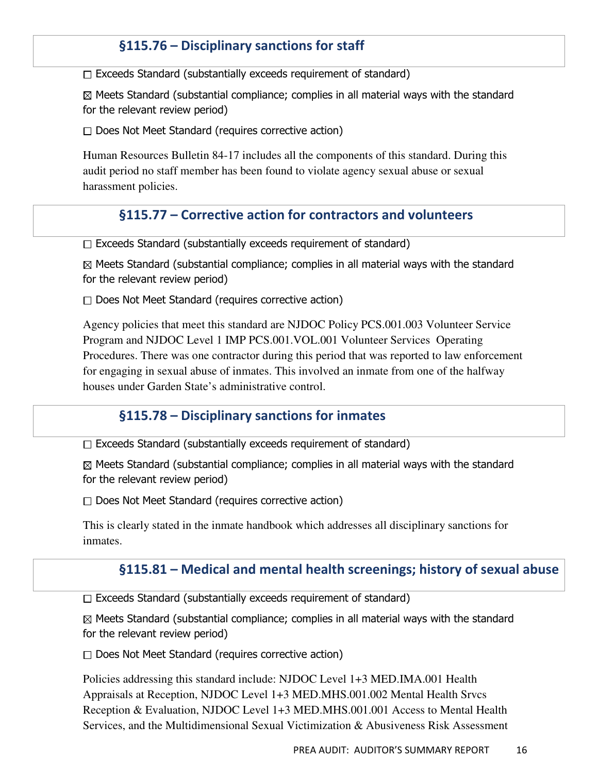## §115.76 – Disciplinary sanctions for staff

 $\Box$  Exceeds Standard (substantially exceeds requirement of standard)

 $\boxtimes$  Meets Standard (substantial compliance; complies in all material ways with the standard for the relevant review period)

 $\Box$  Does Not Meet Standard (requires corrective action)

Human Resources Bulletin 84-17 includes all the components of this standard. During this audit period no staff member has been found to violate agency sexual abuse or sexual harassment policies.

#### §115.77 – Corrective action for contractors and volunteers

 $\Box$  Exceeds Standard (substantially exceeds requirement of standard)

 $\boxtimes$  Meets Standard (substantial compliance; complies in all material ways with the standard for the relevant review period)

 $\Box$  Does Not Meet Standard (requires corrective action)

Agency policies that meet this standard are NJDOC Policy PCS.001.003 Volunteer Service Program and NJDOC Level 1 IMP PCS.001.VOL.001 Volunteer Services Operating Procedures. There was one contractor during this period that was reported to law enforcement for engaging in sexual abuse of inmates. This involved an inmate from one of the halfway houses under Garden State's administrative control.

#### §115.78 – Disciplinary sanctions for inmates

 $\Box$  Exceeds Standard (substantially exceeds requirement of standard)

 $\boxtimes$  Meets Standard (substantial compliance; complies in all material ways with the standard for the relevant review period)

 $\Box$  Does Not Meet Standard (requires corrective action)

This is clearly stated in the inmate handbook which addresses all disciplinary sanctions for inmates.

#### §115.81 – Medical and mental health screenings; history of sexual abuse

 $\Box$  Exceeds Standard (substantially exceeds requirement of standard)

 $\boxtimes$  Meets Standard (substantial compliance; complies in all material ways with the standard for the relevant review period)

 $\Box$  Does Not Meet Standard (requires corrective action)

Policies addressing this standard include: NJDOC Level 1+3 MED.IMA.001 Health Appraisals at Reception, NJDOC Level 1+3 MED.MHS.001.002 Mental Health Srvcs Reception & Evaluation, NJDOC Level 1+3 MED.MHS.001.001 Access to Mental Health Services, and the Multidimensional Sexual Victimization & Abusiveness Risk Assessment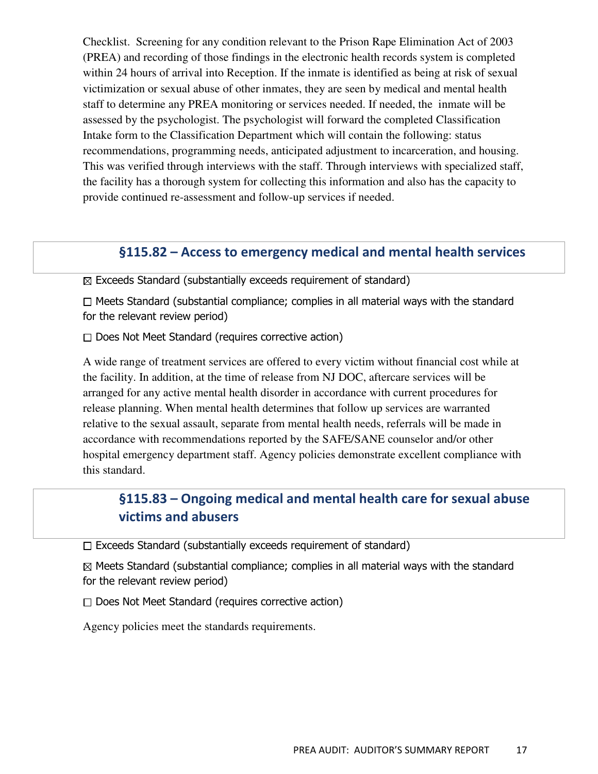Checklist. Screening for any condition relevant to the Prison Rape Elimination Act of 2003 (PREA) and recording of those findings in the electronic health records system is completed within 24 hours of arrival into Reception. If the inmate is identified as being at risk of sexual victimization or sexual abuse of other inmates, they are seen by medical and mental health staff to determine any PREA monitoring or services needed. If needed, the inmate will be assessed by the psychologist. The psychologist will forward the completed Classification Intake form to the Classification Department which will contain the following: status recommendations, programming needs, anticipated adjustment to incarceration, and housing. This was verified through interviews with the staff. Through interviews with specialized staff, the facility has a thorough system for collecting this information and also has the capacity to provide continued re-assessment and follow-up services if needed.

#### §115.82 – Access to emergency medical and mental health services

 $\boxtimes$  Exceeds Standard (substantially exceeds requirement of standard)

 $\Box$  Meets Standard (substantial compliance; complies in all material ways with the standard for the relevant review period)

 $\Box$  Does Not Meet Standard (requires corrective action)

A wide range of treatment services are offered to every victim without financial cost while at the facility. In addition, at the time of release from NJ DOC, aftercare services will be arranged for any active mental health disorder in accordance with current procedures for release planning. When mental health determines that follow up services are warranted relative to the sexual assault, separate from mental health needs, referrals will be made in accordance with recommendations reported by the SAFE/SANE counselor and/or other hospital emergency department staff. Agency policies demonstrate excellent compliance with this standard.

## §115.83 – Ongoing medical and mental health care for sexual abuse victims and abusers

 $\Box$  Exceeds Standard (substantially exceeds requirement of standard)

 $\boxtimes$  Meets Standard (substantial compliance; complies in all material ways with the standard for the relevant review period)

 $\Box$  Does Not Meet Standard (requires corrective action)

Agency policies meet the standards requirements.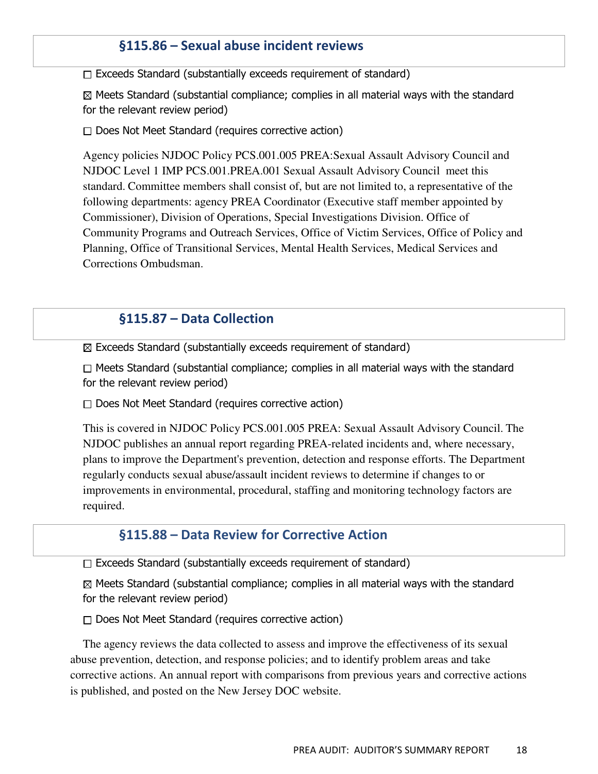### §115.86 – Sexual abuse incident reviews

 $\Box$  Exceeds Standard (substantially exceeds requirement of standard)

 $\boxtimes$  Meets Standard (substantial compliance; complies in all material ways with the standard for the relevant review period)

 $\Box$  Does Not Meet Standard (requires corrective action)

Agency policies NJDOC Policy PCS.001.005 PREA:Sexual Assault Advisory Council and NJDOC Level 1 IMP PCS.001.PREA.001 Sexual Assault Advisory Council meet this standard. Committee members shall consist of, but are not limited to, a representative of the following departments: agency PREA Coordinator (Executive staff member appointed by Commissioner), Division of Operations, Special Investigations Division. Office of Community Programs and Outreach Services, Office of Victim Services, Office of Policy and Planning, Office of Transitional Services, Mental Health Services, Medical Services and Corrections Ombudsman.

### §115.87 – Data Collection

 $\boxtimes$  Exceeds Standard (substantially exceeds requirement of standard)

 $\Box$  Meets Standard (substantial compliance; complies in all material ways with the standard for the relevant review period)

 $\Box$  Does Not Meet Standard (requires corrective action)

This is covered in NJDOC Policy PCS.001.005 PREA: Sexual Assault Advisory Council. The NJDOC publishes an annual report regarding PREA-related incidents and, where necessary, plans to improve the Department's prevention, detection and response efforts. The Department regularly conducts sexual abuse/assault incident reviews to determine if changes to or improvements in environmental, procedural, staffing and monitoring technology factors are required.

#### §115.88 – Data Review for Corrective Action

 $\Box$  Exceeds Standard (substantially exceeds requirement of standard)

 $\boxtimes$  Meets Standard (substantial compliance; complies in all material ways with the standard for the relevant review period)

 $\Box$  Does Not Meet Standard (requires corrective action)

The agency reviews the data collected to assess and improve the effectiveness of its sexual abuse prevention, detection, and response policies; and to identify problem areas and take corrective actions. An annual report with comparisons from previous years and corrective actions is published, and posted on the New Jersey DOC website.